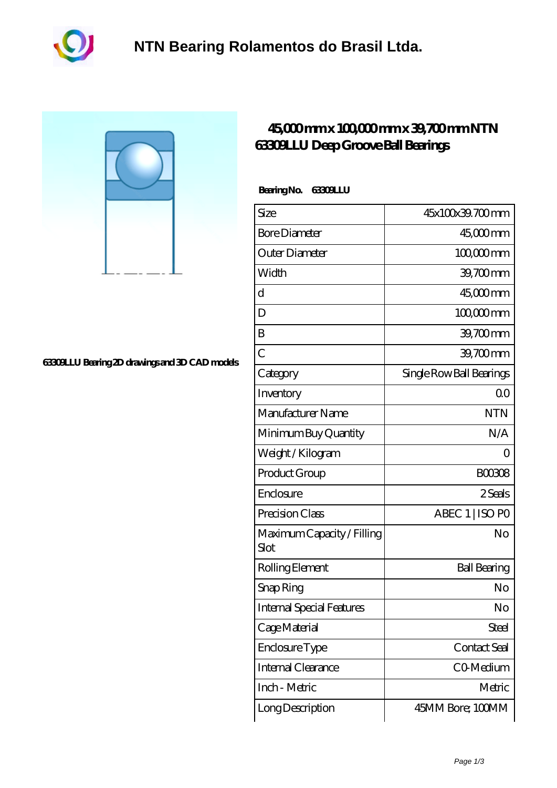

#### **[63309LLU Bearing 2D drawings and 3D CAD models](https://m.akfvr.com/pic-65070986.html)**

### **[45,000 mm x 100,000 mm x 39,700 mm NTN](https://m.akfvr.com/be-65070986-ntn-63309llu-deep-groove-ball-bearings.html) [63309LLU Deep Groove Ball Bearings](https://m.akfvr.com/be-65070986-ntn-63309llu-deep-groove-ball-bearings.html)**

#### **Bearing No. 63309LLU**

| Size                               | 45x100x39.700mm          |
|------------------------------------|--------------------------|
| <b>Bore Diameter</b>               | $4500$ mm                |
| Outer Diameter                     | $10000$ mm               |
| Width                              | 39,700mm                 |
| d                                  | 45,000 mm                |
| D                                  | $10000$ mm               |
| B                                  | 39,700mm                 |
| $\overline{C}$                     | 39,700mm                 |
| Category                           | Single Row Ball Bearings |
| Inventory                          | 0 <sub>0</sub>           |
| Manufacturer Name                  | <b>NTN</b>               |
| Minimum Buy Quantity               | N/A                      |
| Weight / Kilogram                  | ( )                      |
| Product Group                      | <b>BOO308</b>            |
| Enclosure                          | 2 Seals                  |
| Precision Class                    | ABEC 1   ISO PO          |
| Maximum Capacity / Filling<br>Slot | No                       |
| Rolling Element                    | <b>Ball Bearing</b>      |
| Snap Ring                          | No                       |
| <b>Internal Special Features</b>   | No                       |
| Cage Material                      | Steel                    |
| Enclosure Type                     | Contact Seal             |
| Internal Clearance                 | CO-Medium                |
| Inch - Metric                      | Metric                   |
| Long Description                   | 45MM Bore; 100MM         |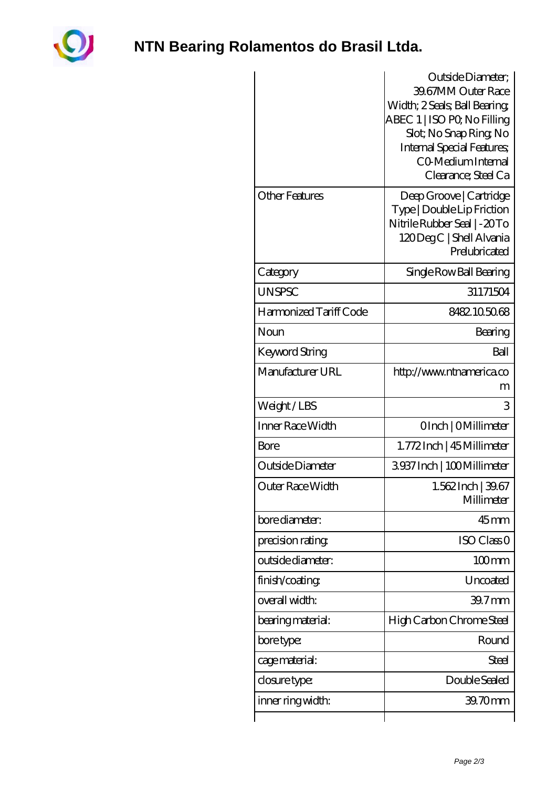

## **[NTN Bearing Rolamentos do Brasil Ltda.](https://m.akfvr.com)**

|                        | Outside Diameter:<br>39.67MM Outer Race<br>Width; 2 Seals; Ball Bearing;<br>ABEC 1   ISO PQ No Filling<br>Slot; No Snap Ring No<br><b>Internal Special Features;</b><br>CO Medium Internal<br>Clearance; Steel Ca |
|------------------------|-------------------------------------------------------------------------------------------------------------------------------------------------------------------------------------------------------------------|
| <b>Other Features</b>  | Deep Groove   Cartridge<br>Type   Double Lip Friction<br>Nitrile Rubber Seal   - 20To<br>120 Deg C   Shell Alvania<br>Prelubricated                                                                               |
| Category               | Single Row Ball Bearing                                                                                                                                                                                           |
| <b>UNSPSC</b>          | 31171504                                                                                                                                                                                                          |
| Harmonized Tariff Code | 8482105068                                                                                                                                                                                                        |
| Noun                   | Bearing                                                                                                                                                                                                           |
| Keyword String         | Ball                                                                                                                                                                                                              |
| Manufacturer URL       | http://www.ntnamerica.co<br>m                                                                                                                                                                                     |
| Weight/LBS             | 3                                                                                                                                                                                                                 |
| Inner Race Width       | OInch   OMillimeter                                                                                                                                                                                               |
| Bore                   | 1.772Inch   45 Millimeter                                                                                                                                                                                         |
| Outside Diameter       | 3937Inch   100Millimeter                                                                                                                                                                                          |
| Outer Race Width       | $1.562$ Inch $ 39.67$<br>Millimeter                                                                                                                                                                               |
| bore diameter:         | $45$ <sub>mm</sub>                                                                                                                                                                                                |
| precision rating       | <b>ISO Class O</b>                                                                                                                                                                                                |
| outside diameter:      | $100$ <sub>mm</sub>                                                                                                                                                                                               |
| finish/coating         | Uncoated                                                                                                                                                                                                          |
| overall width:         | 39.7 <sub>mm</sub>                                                                                                                                                                                                |
| bearing material:      | High Carbon Chrome Steel                                                                                                                                                                                          |
| bore type:             | Round                                                                                                                                                                                                             |
| cage material:         | <b>Steel</b>                                                                                                                                                                                                      |
| closure type:          | Double Sealed                                                                                                                                                                                                     |
| inner ring width:      | 39.70mm                                                                                                                                                                                                           |
|                        |                                                                                                                                                                                                                   |